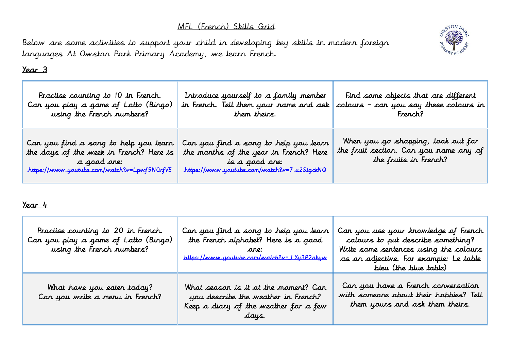## MFL (French) Skills Grid



Below are some activities to support your child in developing key skills in modern foreign languages At Owston Park Primary Academy, we learn French.

## Year 3

| Practise counting to 10 in French.                                                                                                             | Introduce yourself to a family member                                                                                                            | Find some objects that are different                                                                  |
|------------------------------------------------------------------------------------------------------------------------------------------------|--------------------------------------------------------------------------------------------------------------------------------------------------|-------------------------------------------------------------------------------------------------------|
| Can you play a game of Lotto (Bingo)                                                                                                           | in French. Tell them your name and ask                                                                                                           | colours - can you say these colours in                                                                |
| using the French numbers?                                                                                                                      | them theirs.                                                                                                                                     | French?                                                                                               |
| Can you find a song to help you learn<br>the days of the week in French? Here is<br>a good one:<br>https://www.youtube.com/watch?v=Lpwf5N0rfVE | Can you find a song to help you learn<br>the months of the year in French? Here<br>is a good one:<br>https://www.youtube.com/watch?v=7_u2SigckNQ | When you go shopping, look out for<br>the fruit section. Can you name any of<br>the fruits in French? |

## Year 4

| Practise counting to 20 in French.<br>Can you play a game of Lotto (Bingo)<br>using the French numbers? | Can you find a song to help you learn<br>the French alphabet? Here is a good<br>one:<br>https://www.youtube.com/watch?v= LYy3P2okyw | Can you use your knowledge of French<br>colours to put describe something?<br>Write some sentences using the colours<br>as an adjective. For example: Le table<br>bleu (the blue table) |
|---------------------------------------------------------------------------------------------------------|-------------------------------------------------------------------------------------------------------------------------------------|-----------------------------------------------------------------------------------------------------------------------------------------------------------------------------------------|
| What have you eaten today?<br>Can you write a menu in French?                                           | What season is it at the moment? Can<br>you describe the weather in French?<br>Keep a diary of the weather for a few<br>days.       | Can you have a French conversation<br>with someone about their hobbies? Tell<br>them yours and ask them theirs.                                                                         |